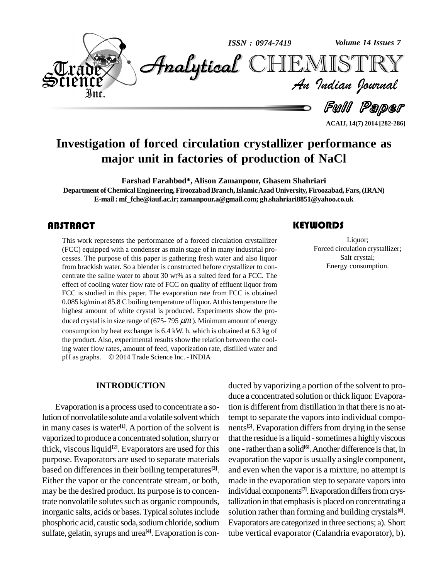

**Investigation of forced circulation crystallizer performance as major unit in factories of production of NaCl**

**Farshad Farahbod\*, Alison Zamanpour, Ghasem Shahriari Department ofChemicalEngineering,FiroozabadBranch,IslamicAzadUniversity, Firoozabad,Fars,(IRAN) E-mail: [mf\\_fche@iauf.ac.ir;](mailto:mf_fche@iauf.ac.ir;) [zamanpour.a@gmail.com;](mailto:zamanpour.a@gmail.com;) [gh.shahriari8851@yahoo.co.uk](mailto:gh.shahriari8851@yahoo.co.uk)**

This work represents the<br>(FCC) equipped with a c<br>cesses. The purpose of t This work represents the performance of a forced circulation crystallizer (FCC) equipped with a condenser as main stage of in many industrial pro cesses. The purpose of this paper is gathering fresh water and also liquor from brackish water. So a blender is constructed before crystallizer to con centrate the saline water to about 30 wt% as a suited feed for a FCC. The effect of cooling water flow rate of FCC on quality of effluent liquor from FCC is studied in this paper. The evaporation rate from FCC is obtained 0.085 kg/min at 85.8 C boiling temperature of liquor. At this temperature the highest amount of white crystal is produced. Experiments show the pro duced crystal is in size range of ( $675-795 \ \mu m$ ). Minimum amount of energy consumption by heat exchanger is 6.4 kW. h. which is obtained at 6.3 kg of the product. Also, experimental results show the relation between the cooling water flow rates, amount of feed, vaporization rate, distilled water and the product. Also, experimental results show the relation between<br>ing water flow rates, amount of feed, vaporization rate, distilled<br>pH as graphs. © 2014 Trade Science Inc. - INDIA

### **INTRODUCTION**

Evaporation is a process used to concentrate a solution of nonvolatile solute and avolatile solventwhich in many cases is water<sup>[1]</sup>. A portion of the solvent is nents vaporized to produce a concentrated solution, slurry or thick, viscous liquid<sup>[2]</sup>. Evaporators are used for this onepurpose. Evaporators are used to separate materials based on differences in their boiling temperatures<sup>[3]</sup>. an Either the vapor or the concentrate stream, or both, may be the desired product. Its purpose is to concentrate nonvolatile solutes such as organic compounds, inorganic salts, acids or bases. Typical solutes include phosphoric acid, caustic soda, sodium chloride, sodium sulfate, gelatin, syrups and urea<sup>[4]</sup>. Evaporation is con-

## **KEYWORDS**

Exercise 2<br>
Eiquor;<br>
Forced circulation cry<br>
Salt crystal; Liquor; Forced circulation crystallizer; Salt crystal; Energy consumption.

**ACAIJ, 14(7) 2014 [282-286]**

ducted by vaporizing a portion of the solvent to pro duce a concentrated solution orthick liquor. Evaporation is different from distillation in that there is no attempt to separate the vaporsinto individual compo nents<sup>[5]</sup>. Evaporation differs from drying in the sense that the residue is a liquid - sometimes a highly viscous one - rather than a solid<sup>[6]</sup>. Another difference is that, in evaporation the vapor is usually a single component, and even when the vapor is a mixture, no attempt is made in the evaporation step to separate vapors into individual components<sup>[7]</sup>. Evaporation differs from crystallization in that emphasis is placed on concentrating a solution rather than forming and building crystals **[8]**. Evaporators are categorized in three sections; a). Short tube vertical evaporator (Calandria evaporator), b).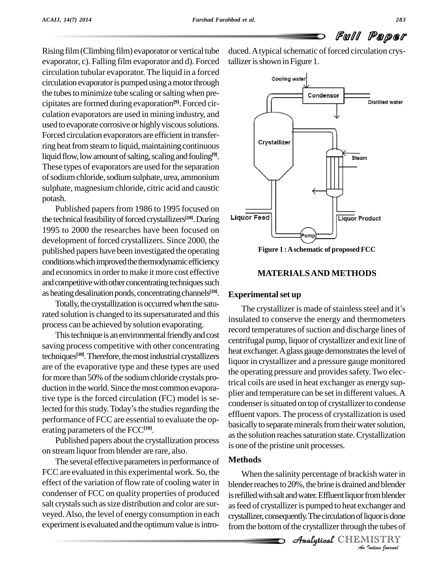Rising film(Climbing film) evaporator or vertical tube evaporator, c). Falling film evaporator and d). Forced circulation tubular evaporator. The liquid in a forced circulation evaporator is pumped using a motor through the tubes to minimize tube scaling or salting when precipitates are formed during evaporation **[9]**. Forced cir culation evaporators are used in mining industry, and used to evaporate corrosive or highly viscous solutions. Forced circulation evaporators are efficient in transferring heat from steam to liquid, maintaining continuous liquid flow, low amount of salting, scaling and fouling<sup>[9]</sup>. These types of evaporators are used for the separation ofsodiumchloride,sodiumsulphate, urea, ammonium sulphate, magnesium chloride, citric acid and caustic potash.

Published papers from 1986 to 1995 focused on  $\frac{\overline{\phantom{a}}}{\phantom{a}}$ the technical feasibility of forced crystallizers<sup>[10]</sup>. During Liquor 1995 to 2000 the researches have been focused on development of forced crystallizers. Since 2000, the published papers have been investigated the operating conditions which improved the thermodynamic efficiency and economics in order to make it more cost effective and competitive with other concentrating techniques such as heating desalination ponds, concentrating channels<sup>[10]</sup>. Ex

Totally, the crystallization is occurred when the saturated solution is changed to its supersaturated and this process can be achieved by solution evaporating.

This technique is an environmental friendly and cost saving process competitive with other concentrating techniques<sup>[10]</sup>. Therefore, the most industrial crystallizers is are of the evaporative type and these types are used for more than 50% of the sodium chloride crystals production in the world. Since the most common evaporative type is the forced circulation (FC) model is selected for this study. Today's the studies regarding the performance of FCC are essential to evaluate the op erating parameters of the FCC**[10]**.

Published papers about the crystallization process on stream liquor from blender are rare, also.

The several effective parameters in performance of FCC are evaluated in this experimental work. So, the effect of the variation of flow rate of cooling water in condenser of FCC on quality properties of produced salt crystals such as size distribution and color are surveyed.Also, the level of energy consumption in each experiment is evaluated and the optimum value is introduced. A typical schematic of forced circulation crystallizer is shown in Figure 1.



**Figure 1 :Aschematic of proposed FCC**

# **MATERIALSAND METHODS**

# **Experimentalset up**

The crystallizer is made of stainless steel and it's insulated to conserve the energy and thermometers record temperatures of suction and discharge lines of centrifugal pump, liquor of crystallizer and exit line of heat exchanger. A glass gauge demonstrates the level of liquor in crystallizer and a pressure gauge monitored the operating pressure and provides safety. Two electrical coils are used in heat exchanger as energy sup plier and temperature can be set in different values. A condenser is situated on top of crystallizer to condense effluent vapors. The process of crystallization is used basically to separate minerals from their water solution, as the solution reaches saturation state. Crystallization is one of the pristine unit processes.

# **Methods**

blender reaches to 20%, the brine is drained and blender *Indiana*<br>*Indianager and iquor is done*<br>*IISTRY*<br>*IISTRY* bender reaches to 20%, the orme is dramed and ofender<br>is refilled with salt and water. Effluent liquor from blender When the salinity percentage of brackish water in as feed of crystallizer is pumped to heat exchanger and crystallizer, consequently. The circulation of liquor is done from the bottom of the crystallizer through the tubes of

**Analytical** CHEMISTRY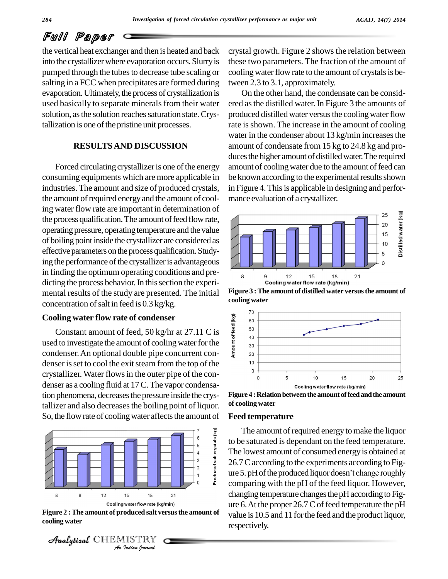# Full Paper

the vertical heat exchanger and then is heated and back into the crystallizer where evaporation occurs. Slurry is pumped through the tubes to decrease tube scaling or salting in a FCC when precipitates are formed during evaporation. Ultimately, the process of crystallization is used basically to separate minerals from their water solution, as the solution reaches saturation state. Crystallization is one of the pristine unit processes.

# **RESULTSAND DISCUSSION**

Forced circulating crystallizer is one of the energy consuming equipments which are more applicable in industries. The amount and size of produced crystals, the amount of required energy and the amount of cooling water flow rate are important in determination of the process qualification. The amount of feed flow rate, operating pressure, operating temperature and the value of boilingpoint inside the crystallizer are considered as effective parameters on the process qualification. Studying the performance of the crystallizer is advantageous in finding the optimum operating conditions and pre dicting the process behavior. In this section the experimental results of the study are presented. The initial concentration of salt in feed is  $0.3$  kg/kg.

# **Cooling** water flow rate of condenser

Ding water flow rate of condenser<br>
Constant amount of feed, 50 kg/hr at 27.11 C is<br>
d to investigate the amount of cooling water for the<br>
denser. An optional double pipe concurrent conused to investigate the amount of cooling water for the condenser.An optional double pipe concurrent con denser is set to cool the exit steam from the top of the crystallizer. Water flowsin the outer pipe of the con denser as a cooling fluid at 17C.The vapor condensation phenomena, decreases the pressure inside the crystallizer and also decreases the boiling point of liquor. So, the flow rate of cooling water affects the amount of



**Figure 2 :The amount of produced saltversusthe amount of cooling water**



crystal growth. Figure 2 shows the relation between these two parameters. The fraction of the amount of cooling water flow rate to the amount of crystals is between 2.3 to 3.1, approximately.

On the other hand, the condensate can be consid ered asthe distilled water. In Figure 3 the amounts of produced distilled water versus the cooling water flow rate is shown. The increase in the amount of cooling water in the condenser about 13 kg/min increases the amount of condensate from 15 kg to 24.8 kg and pro duces the higher amount of distilled water. The required amount of cooling water due to the amount of feed can be known according to the experimental results shown in Figure 4. This is applicable in designing and performance evaluation of a crystallizer.



**Figure** 3 : The amount of distilled water versus the amount of **cooling water**



Figure 4 : Relation between the amount of feed and the amount **of cooling water**

#### **Feed temperature**

The amount of required energy to make the liquor to be saturated is dependant on the feed temperature. The lowest amount of consumed energy is obtained at 26.7 C according to the experiments according to Figure 5. pH of the produced liquor doesn't change roughly comparing with the pH of the feed liquor. However, changing temperature changes the pH according to Figure 6. At the proper  $26.7C$  of feed temperature the pH value is 10.5 and 11 forthe feed and the product liquor, respectively.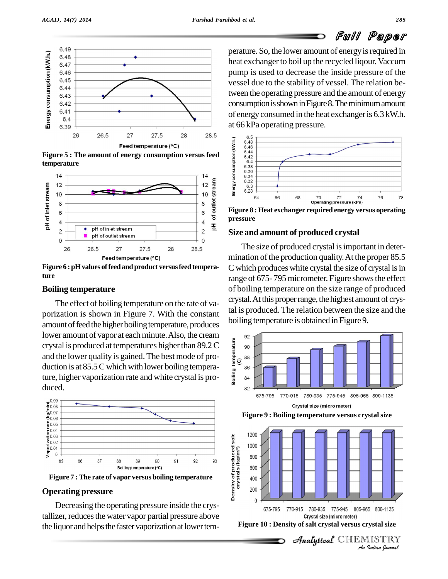

**temperature**



**Figure 6 :pHvalues offeed and product versusfeed temperature**

#### **Boiling temperature**

The effect of boiling temperature on the rate of va porization is shown in Figure 7. With the constant amount of feed the higher boiling temperature, produces lower amount of vapor at each minute. Also, the cream<br>crystal is produced at temperatures higher than 89.2 C<br>and the lower quality is gained. The best mode of pro-<br>duction is at 85.5 C which with lower boiling tempera-<br>tu crystal is produced at temperatures higher than 89.2 C  $\vec{\mathbf{g}}$  so and the lower quality is gained. The best mode of pro- $\frac{a}{\epsilon}$ duction is at  $85.5C$  which with lower boiling temperature, higher vaporization rate and white crystal is pro duced.



#### **Operating pressure**

Decreasing the operating pressure inside the crystallizer, reduces the water vapor partial pressure above the liquor and helps the faster vaporization at lower temperature. So, the lower amount of energy is required in heat exchanger to boil up the recycled liqour. Vaccum pump is used to decrease the inside pressure of the vessel due to the stability of vessel. The relation between the operating pressure and the amount of energy consumption is shown in Figure 8. The minimum amount of energyconsumed in the heat exchangeris 6.3 kW.h. at 66 kPa operating pressure.



**Figure 8 : Heat exchanger required energy versus operating pressure**

#### **Size and amount of produced crystal**

The size of produced crystal is important in determination of the production quality. At the proper 85.5 C which produces white crystal the size of crystal is in range of 675-795 micrometer. Figure shows the effect of boiling temperature on the size range of produced crystal. At this proper range, the highest amount of crystal is produced. The relation between the size and the boiling temperature is obtained in Figure 9.



Crystal size (micro meter)

**Figure 9 : Boiling temperature versus crystalsize**



 $\mathscr{A}$ nalytical $\mathcal C$ HEMISTRY

Full Paper